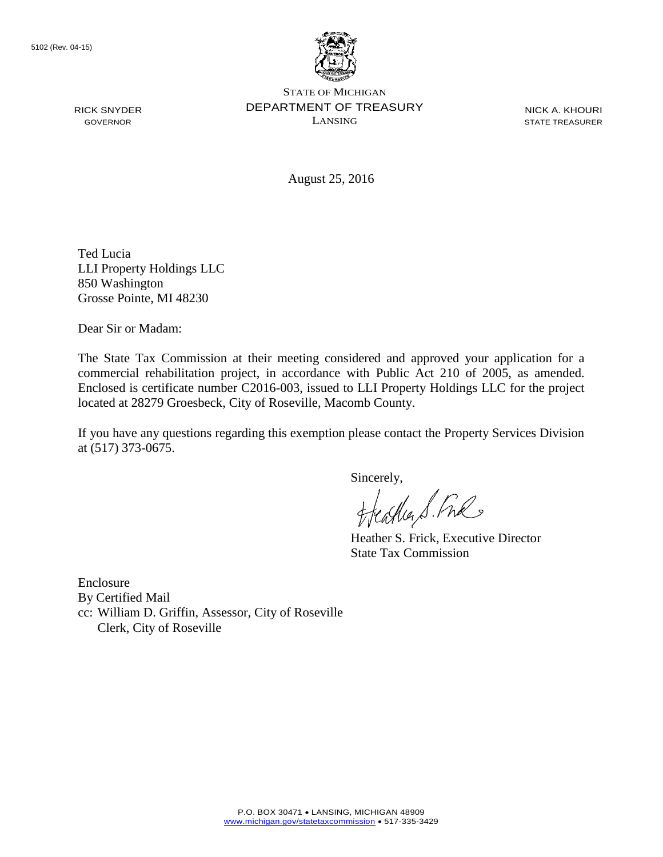RICK SNYDER GOVERNOR



STATE OF MICHIGAN DEPARTMENT OF TREASURY LANSING

NICK A. KHOURI STATE TREASURER

August 25, 2016

Ted Lucia LLI Property Holdings LLC 850 Washington Grosse Pointe, MI 48230

Dear Sir or Madam:

The State Tax Commission at their meeting considered and approved your application for a commercial rehabilitation project, in accordance with Public Act 210 of 2005, as amended. Enclosed is certificate number C2016-003, issued to LLI Property Holdings LLC for the project located at 28279 Groesbeck, City of Roseville, Macomb County.

If you have any questions regarding this exemption please contact the Property Services Division at (517) 373-0675.

Sincerely,<br>Heather S. Ful

Heather S. Frick, Executive Director State Tax Commission

Enclosure By Certified Mail cc: William D. Griffin, Assessor, City of Roseville Clerk, City of Roseville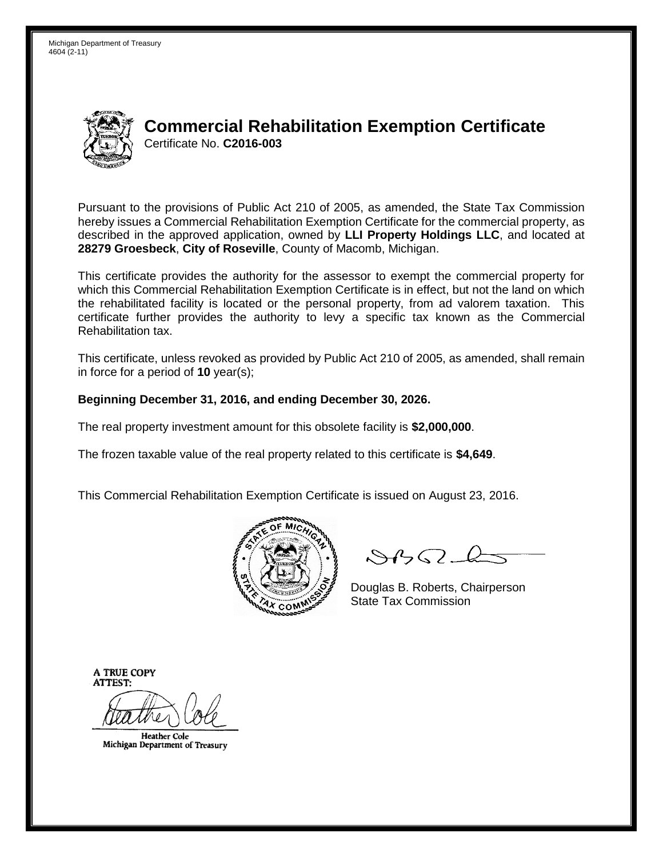Michigan Department of Treasury 4604 (2-11)



## **Commercial Rehabilitation Exemption Certificate** Certificate No. **C2016-003**

Pursuant to the provisions of Public Act 210 of 2005, as amended, the State Tax Commission hereby issues a Commercial Rehabilitation Exemption Certificate for the commercial property, as described in the approved application, owned by **LLI Property Holdings LLC**, and located at **28279 Groesbeck**, **City of Roseville**, County of Macomb, Michigan.

This certificate provides the authority for the assessor to exempt the commercial property for which this Commercial Rehabilitation Exemption Certificate is in effect, but not the land on which the rehabilitated facility is located or the personal property, from ad valorem taxation. This certificate further provides the authority to levy a specific tax known as the Commercial Rehabilitation tax.

This certificate, unless revoked as provided by Public Act 210 of 2005, as amended, shall remain in force for a period of **10** year(s);

## **Beginning December 31, 2016, and ending December 30, 2026.**

The real property investment amount for this obsolete facility is **\$2,000,000**.

The frozen taxable value of the real property related to this certificate is **\$4,649**.

This Commercial Rehabilitation Exemption Certificate is issued on August 23, 2016.



 $8450-l$ 

Douglas B. Roberts, Chairperson State Tax Commission

**A TRUE COPY ATTEST:** 

**Heather Cole** Michigan Department of Treasury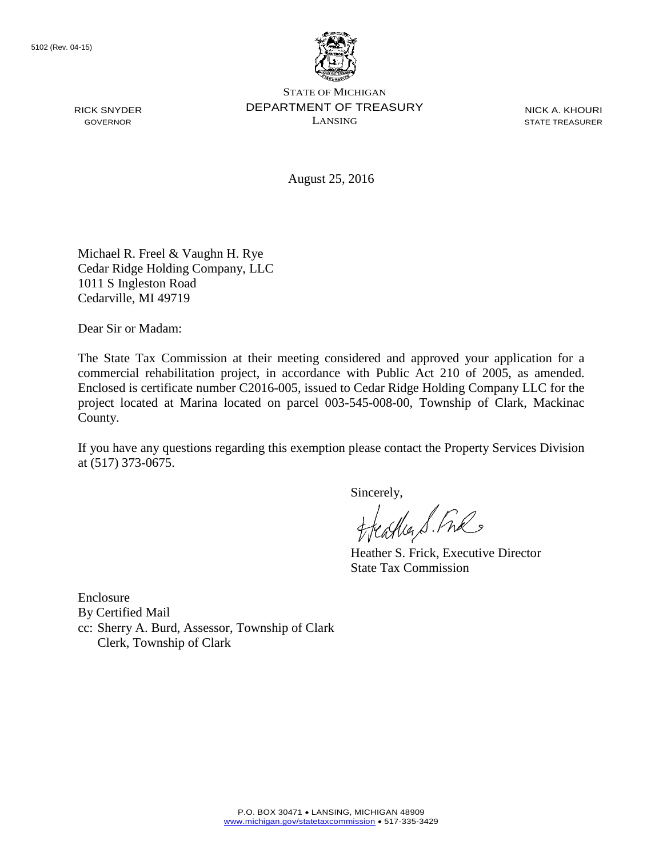RICK SNYDER GOVERNOR



STATE OF MICHIGAN DEPARTMENT OF TREASURY LANSING

NICK A. KHOURI STATE TREASURER

August 25, 2016

Michael R. Freel & Vaughn H. Rye Cedar Ridge Holding Company, LLC 1011 S Ingleston Road Cedarville, MI 49719

Dear Sir or Madam:

The State Tax Commission at their meeting considered and approved your application for a commercial rehabilitation project, in accordance with Public Act 210 of 2005, as amended. Enclosed is certificate number C2016-005, issued to Cedar Ridge Holding Company LLC for the project located at Marina located on parcel 003-545-008-00, Township of Clark, Mackinac County.

If you have any questions regarding this exemption please contact the Property Services Division at (517) 373-0675.

Sincerely,

Heather S. Fre

Heather S. Frick, Executive Director State Tax Commission

Enclosure By Certified Mail cc: Sherry A. Burd, Assessor, Township of Clark Clerk, Township of Clark